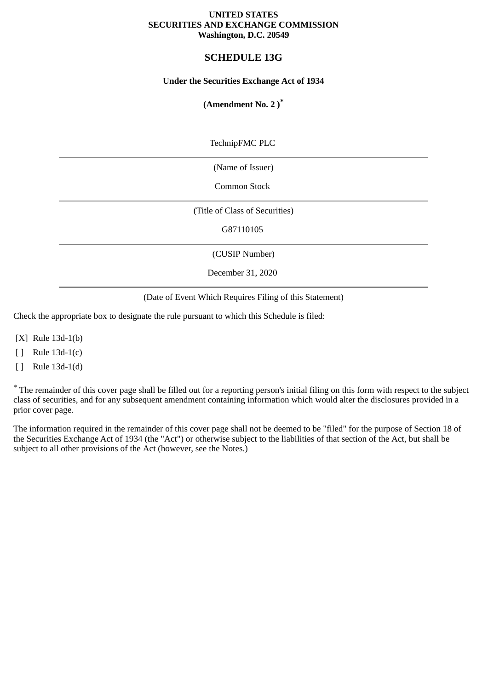#### **UNITED STATES SECURITIES AND EXCHANGE COMMISSION Washington, D.C. 20549**

# **SCHEDULE 13G**

## **Under the Securities Exchange Act of 1934**

## **(Amendment No. 2 )\***

TechnipFMC PLC

(Name of Issuer)

Common Stock

(Title of Class of Securities)

G87110105

(CUSIP Number)

December 31, 2020

(Date of Event Which Requires Filing of this Statement)

Check the appropriate box to designate the rule pursuant to which this Schedule is filed:

[X] Rule 13d-1(b)

[ ] Rule 13d-1(c)

[ ] Rule 13d-1(d)

\* The remainder of this cover page shall be filled out for a reporting person's initial filing on this form with respect to the subject class of securities, and for any subsequent amendment containing information which would alter the disclosures provided in a prior cover page.

The information required in the remainder of this cover page shall not be deemed to be "filed" for the purpose of Section 18 of the Securities Exchange Act of 1934 (the "Act") or otherwise subject to the liabilities of that section of the Act, but shall be subject to all other provisions of the Act (however, see the Notes.)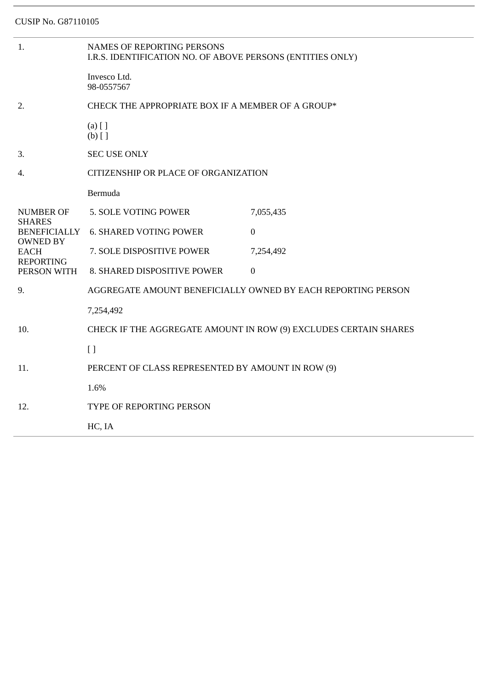| 1.                                                                | <b>NAMES OF REPORTING PERSONS</b><br>I.R.S. IDENTIFICATION NO. OF ABOVE PERSONS (ENTITIES ONLY) |                |  |
|-------------------------------------------------------------------|-------------------------------------------------------------------------------------------------|----------------|--|
|                                                                   | Invesco Ltd.<br>98-0557567                                                                      |                |  |
| 2.                                                                | CHECK THE APPROPRIATE BOX IF A MEMBER OF A GROUP*                                               |                |  |
|                                                                   | $(a)$ [ ]<br>$(b)$ []                                                                           |                |  |
| 3.                                                                | <b>SEC USE ONLY</b>                                                                             |                |  |
| 4.                                                                | CITIZENSHIP OR PLACE OF ORGANIZATION                                                            |                |  |
|                                                                   | Bermuda                                                                                         |                |  |
| <b>NUMBER OF</b>                                                  | 5. SOLE VOTING POWER                                                                            | 7,055,435      |  |
| <b>SHARES</b><br><b>BENEFICIALLY</b>                              | <b>6. SHARED VOTING POWER</b>                                                                   | $\overline{0}$ |  |
| <b>OWNED BY</b><br><b>EACH</b><br><b>REPORTING</b><br>PERSON WITH | 7. SOLE DISPOSITIVE POWER                                                                       | 7,254,492      |  |
|                                                                   | 8. SHARED DISPOSITIVE POWER                                                                     | $\overline{0}$ |  |
| 9.                                                                | AGGREGATE AMOUNT BENEFICIALLY OWNED BY EACH REPORTING PERSON                                    |                |  |
|                                                                   | 7,254,492                                                                                       |                |  |
| 10.                                                               | CHECK IF THE AGGREGATE AMOUNT IN ROW (9) EXCLUDES CERTAIN SHARES                                |                |  |
|                                                                   | $[ ]$                                                                                           |                |  |
| 11.                                                               | PERCENT OF CLASS REPRESENTED BY AMOUNT IN ROW (9)                                               |                |  |
|                                                                   | 1.6%                                                                                            |                |  |
| 12.                                                               | TYPE OF REPORTING PERSON                                                                        |                |  |
|                                                                   | HC, IA                                                                                          |                |  |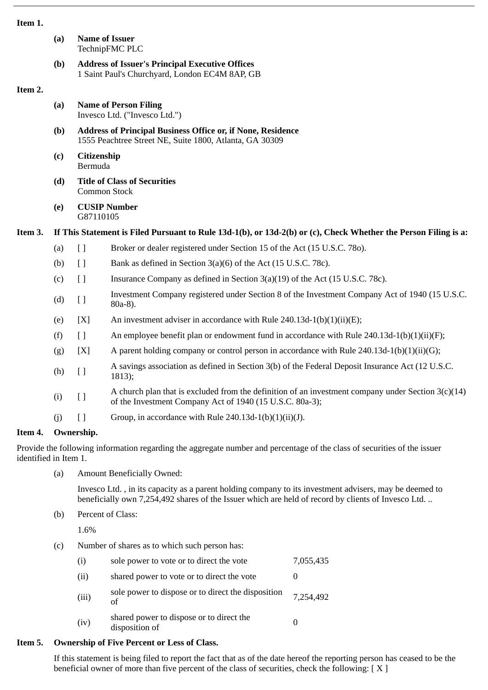#### **Item 1.**

|         | (a) | <b>Name of Issuer</b><br>TechnipFMC PLC                                                                                       |                                                                                                                                                                  |  |  |
|---------|-----|-------------------------------------------------------------------------------------------------------------------------------|------------------------------------------------------------------------------------------------------------------------------------------------------------------|--|--|
|         | (b) | <b>Address of Issuer's Principal Executive Offices</b><br>1 Saint Paul's Churchyard, London EC4M 8AP, GB                      |                                                                                                                                                                  |  |  |
| Item 2. |     |                                                                                                                               |                                                                                                                                                                  |  |  |
|         | (a) | <b>Name of Person Filing</b><br>Invesco Ltd. ("Invesco Ltd.")                                                                 |                                                                                                                                                                  |  |  |
|         | (b) | <b>Address of Principal Business Office or, if None, Residence</b><br>1555 Peachtree Street NE, Suite 1800, Atlanta, GA 30309 |                                                                                                                                                                  |  |  |
|         | (c) | <b>Citizenship</b><br>Bermuda                                                                                                 |                                                                                                                                                                  |  |  |
|         | (d) | <b>Title of Class of Securities</b><br><b>Common Stock</b>                                                                    |                                                                                                                                                                  |  |  |
|         | (e) | G87110105                                                                                                                     | <b>CUSIP Number</b>                                                                                                                                              |  |  |
| Item 3. |     |                                                                                                                               | If This Statement is Filed Pursuant to Rule 13d-1(b), or 13d-2(b) or (c), Check Whether the Person Filing is a:                                                  |  |  |
|         | (a) | $\Box$                                                                                                                        | Broker or dealer registered under Section 15 of the Act (15 U.S.C. 780).                                                                                         |  |  |
|         | (b) | $[ ]$                                                                                                                         | Bank as defined in Section 3(a)(6) of the Act (15 U.S.C. 78c).                                                                                                   |  |  |
|         | (c) | $[ \ ]$                                                                                                                       | Insurance Company as defined in Section $3(a)(19)$ of the Act (15 U.S.C. 78c).                                                                                   |  |  |
|         | (d) | [ ]                                                                                                                           | Investment Company registered under Section 8 of the Investment Company Act of 1940 (15 U.S.C.<br>80a-8).                                                        |  |  |
|         | (e) | [X]                                                                                                                           | An investment adviser in accordance with Rule 240.13d-1(b)(1)(ii)(E);                                                                                            |  |  |
|         | (f) | $[ \ ]$                                                                                                                       | An employee benefit plan or endowment fund in accordance with Rule $240.13d-1(b)(1)(ii)(F);$                                                                     |  |  |
|         | (g) | [X]                                                                                                                           | A parent holding company or control person in accordance with Rule $240.13d-1(b)(1)(ii)(G);$                                                                     |  |  |
|         | (h) | $\left[\right]$                                                                                                               | A savings association as defined in Section 3(b) of the Federal Deposit Insurance Act (12 U.S.C.<br>1813);                                                       |  |  |
|         | (i) | $[ \ ]$                                                                                                                       | A church plan that is excluded from the definition of an investment company under Section $3(c)(14)$<br>of the Investment Company Act of 1940 (15 U.S.C. 80a-3); |  |  |
|         | (j) | $\left[ \ \right]$                                                                                                            | Group, in accordance with Rule 240.13d-1(b)(1)(ii)(J).                                                                                                           |  |  |
| Item 4. |     | Ownership.                                                                                                                    |                                                                                                                                                                  |  |  |

Provide the following information regarding the aggregate number and percentage of the class of securities of the issuer identified in Item 1.

(a) Amount Beneficially Owned:

Invesco Ltd. , in its capacity as a parent holding company to its investment advisers, may be deemed to beneficially own 7,254,492 shares of the Issuer which are held of record by clients of Invesco Ltd. ..

(b) Percent of Class:

1.6%

(c) Number of shares as to which such person has:

| (i)   | sole power to vote or to direct the vote                   | 7,055,435 |
|-------|------------------------------------------------------------|-----------|
| (ii)  | shared power to vote or to direct the vote                 |           |
| (iii) | sole power to dispose or to direct the disposition<br>of   | 7,254,492 |
| (iv)  | shared power to dispose or to direct the<br>disposition of |           |

# **Item 5. Ownership of Five Percent or Less of Class.**

If this statement is being filed to report the fact that as of the date hereof the reporting person has ceased to be the beneficial owner of more than five percent of the class of securities, check the following:  $[X]$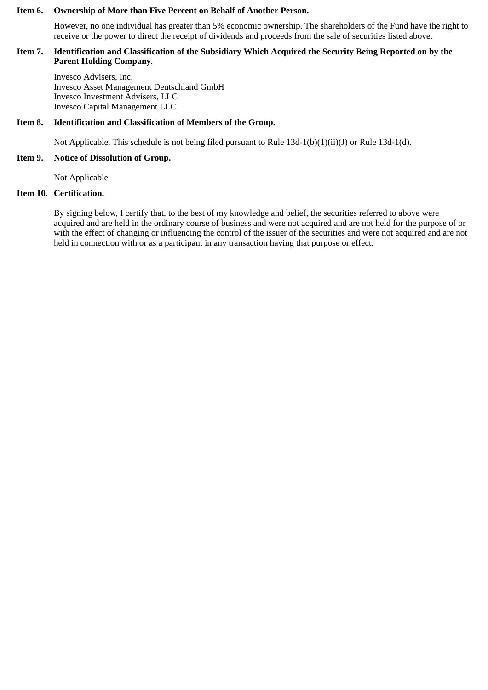#### **Item 6. Ownership of More than Five Percent on Behalf of Another Person.**

However, no one individual has greater than 5% economic ownership. The shareholders of the Fund have the right to receive or the power to direct the receipt of dividends and proceeds from the sale of securities listed above.

## **Item 7. Identification and Classification of the Subsidiary Which Acquired the Security Being Reported on by the Parent Holding Company.**

Invesco Advisers, Inc. Invesco Asset Management Deutschland GmbH Invesco Investment Advisers, LLC Invesco Capital Management LLC

## **Item 8. Identification and Classification of Members of the Group.**

Not Applicable. This schedule is not being filed pursuant to Rule 13d-1(b)(1)(ii)(J) or Rule 13d-1(d).

#### **Item 9. Notice of Dissolution of Group.**

Not Applicable

## **Item 10. Certification.**

By signing below, I certify that, to the best of my knowledge and belief, the securities referred to above were acquired and are held in the ordinary course of business and were not acquired and are not held for the purpose of or with the effect of changing or influencing the control of the issuer of the securities and were not acquired and are not held in connection with or as a participant in any transaction having that purpose or effect.